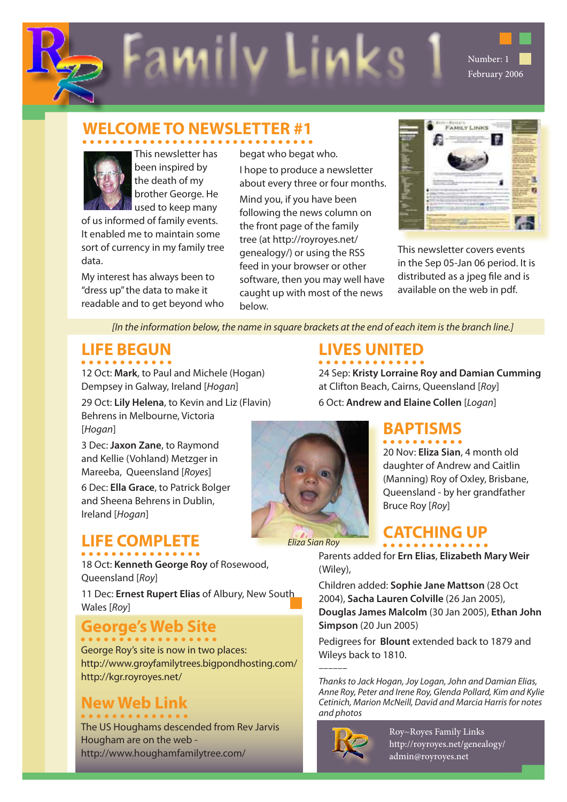



This newsletter has been inspired by the death of my brother George. He used to keep many

of us informed of family events. It enabled me to maintain some sort of currency in my family tree data.

My interest has always been to "dress up" the data to make it readable and to get beyond who

begat who begat who. I hope to produce a newsletter about every three or four months. Mind you, if you have been following the news column on the front page of the family tree (at http://royroyes.net/ genealogy/) or using the RSS feed in your browser or other software, then you may well have caught up with most of the news below.

Family Links 1 Number: 1

| $-1000$ |  |
|---------|--|
|         |  |
|         |  |
|         |  |

February 2006

This newsletter covers events in the Sep 05-Jan 06 period. It is distributed as a jpeg file and is available on the web in pdf.

*[In the information below, the name in square brackets at the end of each item is the branch line.]*

# **LIFE BEGUN**

12 Oct: **[Mark](http://royroyes.net/genealogy/getperson.php?personID=I4796&tree=rr_tree)**, to Paul and Michele (Hogan) Dempsey in Galway, Ireland [*Hogan*]

29 Oct: **[Lily Helena](http://royroyes.net/genealogy/getperson.php?personID=I4797&tree=rr_tree)**, to Kevin and Liz (Flavin) Behrens in Melbourne, Victoria [*Hogan*]

3 Dec: **[Jaxon Zane](http://royroyes.net/genealogy/getperson.php?personID=I4806&tree=rr_tree)**, to Raymond and Kellie (Vohland) Metzger in Mareeba, Queensland [*Royes*]

6 Dec: **[Ella Grace](http://royroyes.net/genealogy/getperson.php?personID=I4798&tree=rr_tree)**, to Patrick Bolger and Sheena Behrens in Dublin, Ireland [*Hogan*]

## **LIFE COMPLETE**

18 Oct: **[Kenneth George Roy](http://royroyes.net/genealogy/getperson.php?personID=I834&tree=rr_tree)** of Rosewood, Queensland [*Roy*]

11 Dec: **[Ernest Rupert Elias](http://royroyes.net/genealogy/getperson.php?personID=I254&tree=rr_tree)** of Albury, New South Wales [*Roy*]

# **George's Web Site**

George Roy's site is now in two places: http://www.groyfamilytrees.bigpondhosting.com/ http://kgr.royroyes.net/

### **New Web Link**

The US Houghams descended from Rev Jarvis Hougham are on the web http://www.houghamfamilytree.com/

### **LIVES UNITED**

24 Sep: **[Kristy Lorraine Roy and Damian Cumming](http://royroyes.net/genealogy/familygroup.php?familyID=F478&tree=rr_tree)** at Clifton Beach, Cairns, Queensland [*Roy*] 6 Oct: **[Andrew and Elaine Collen](http://royroyes.net/genealogy/familygroup.php?familyID=F383&tree=rr_tree)** [*Logan*]



20 Nov: **[Eliza Sian](http://royroyes.net/genealogy/getperson.php?personID=I4775&tree=rr_tree)**, 4 month old daughter of Andrew and Caitlin (Manning) Roy of Oxley, Brisbane, Queensland - by her grandfather Bruce Roy [*Roy*]

### **CATCHING UP**

Parents added for **[Ern Elias](http://royroyes.net/genealogy/getperson.php?personID=I254&tree=rr_tree)**, **[Elizabeth Mary Weir](http://royroyes.net/genealogy/getperson.php?personID=I3903&tree=rr_tree)** (Wiley),

Children added: **[Sophie Jane Mattson](http://royroyes.net/genealogy/getperson.php?personID=I4811&tree=rr_tree)** (28 Oct 2004), **[Sacha Lauren Colville](http://royroyes.net/genealogy/getperson.php?personID=I4815&tree=rr_tree)** (26 Jan 2005), **[Douglas James Malcolm](http://royroyes.net/genealogy/getperson.php?personID=I4813&tree=rr_tree)** (30 Jan 2005), **[Ethan John](http://royroyes.net/genealogy/getperson.php?personID=I4814&tree=rr_tree)  [Simpson](http://royroyes.net/genealogy/getperson.php?personID=I4814&tree=rr_tree)** (20 Jun 2005)

Pedigrees for **[Blount](http://royroyes.net/genealogy/showmedia.php?mediaID=822)** extended back to 1879 and [Wileys](http://royroyes.net/genealogy/pedigree.php?personID=I1312&tree=rr_tree) back to 1810.

*–––––– Thanks to Jack Hogan, Joy Logan, John and Damian Elias, Anne Roy, Peter and Irene Roy, Glenda Pollard, Kim and Kylie Cetinich, Marion McNeill, David and Marcia Harris for notes and photos*



Roy~Royes Family Links http://royroyes.net/genealogy/ admin@royroyes.net

*Eliza Sian Roy*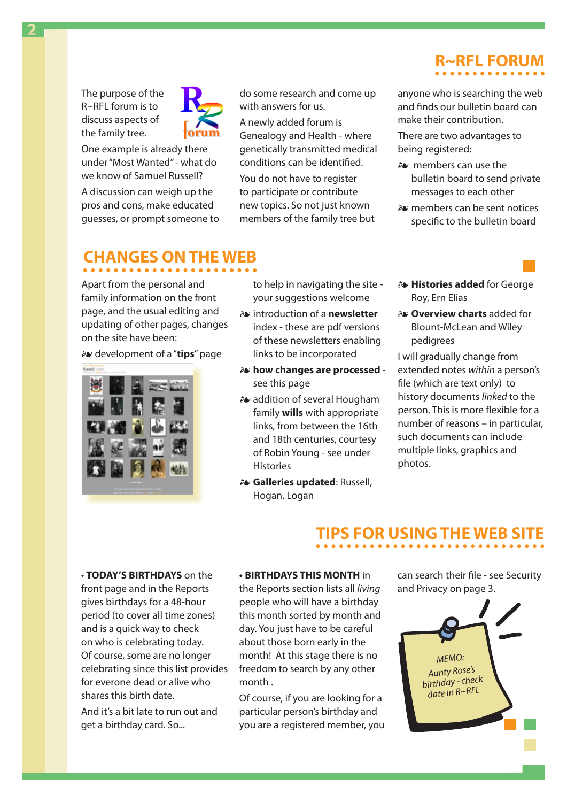The purpose of the [R~RFL forum](http://royroyes.net/genealogy/forum.php) is to discuss aspects of the family tree.

**2**

One example is already there under "Most Wanted" - what do we know of Samuel Russell?

A discussion can weigh up the pros and cons, make educated guesses, or prompt someone to do some research and come up with answers for us.

A newly added forum is Genealogy and Health - where genetically transmitted medical conditions can be identified.

You do not have to register to participate or contribute new topics. So not just known members of the family tree but

# **R~RFL FORUM**

anyone who is searching the web and finds our bulletin board can make their contribution.

There are two advantages to being registered:

- ɶ members can use the bulletin board to send private messages to each other
- ɶ members can be sent notices specific to the bulletin board

### **CHANGES ON THE WEB**

Apart from the personal and family information on the front page, and the usual editing and updating of other pages, changes on the site have been:

ɶ development of a "**[tips](http://royroyes.net/genealogy/spt/faq.php)**" page



to help in navigating the site your suggestions welcome

- ɶ introduction of a **[newsletter](http://royroyes.net/genealogy/newsletters/newsletters.php)** [index](http://royroyes.net/genealogy/newsletters/newsletters.php) - these are pdf versions of these newsletters enabling links to be incorporated
- ɶ **how changes are processed** see [this page](http://royroyes.net/genealogy/spt/my_system.php)
- ɶ addition of several Hougham family **wills** with appropriate links, from between the 16th and 18th centuries, courtesy of Robin Young - see under **[Histories](http://royroyes.net/genealogy/browsemedia.php?mediatypeID=histories)**
- ɶ **Galleries updated**: Russell, Hogan, Logan
- ɶ **Histories added** for George Roy, Ern Elias
- ɶ **Overview charts** added for Blount-McLean and Wiley pedigrees

I will gradually change from extended notes *within* a person's file (which are text only) to history documents *linked* to the person. This is more flexible for a number of reasons – in particular, such documents can include multiple links, graphics and photos.

### **TIPS FOR USING THE WEB SITE**

• **TODAY'S BIRTHDAYS** on the front page and in the Reports gives birthdays for a 48-hour period (to cover all time zones) and is a quick way to check on who is celebrating today. Of course, some are no longer celebrating since this list provides for everone dead or alive who shares this birth date.

And it's a bit late to run out and get a birthday card. So...

### **• BIRTHDAYS THIS MONTH** in

the Reports section lists all *living* people who will have a birthday this month sorted by month and day. You just have to be careful about those born early in the month! At this stage there is no freedom to search by any other month .

Of course, if you are looking for a particular person's birthday and you are a registered member, you can search their file - see Security and Privacy on page 3.